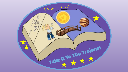